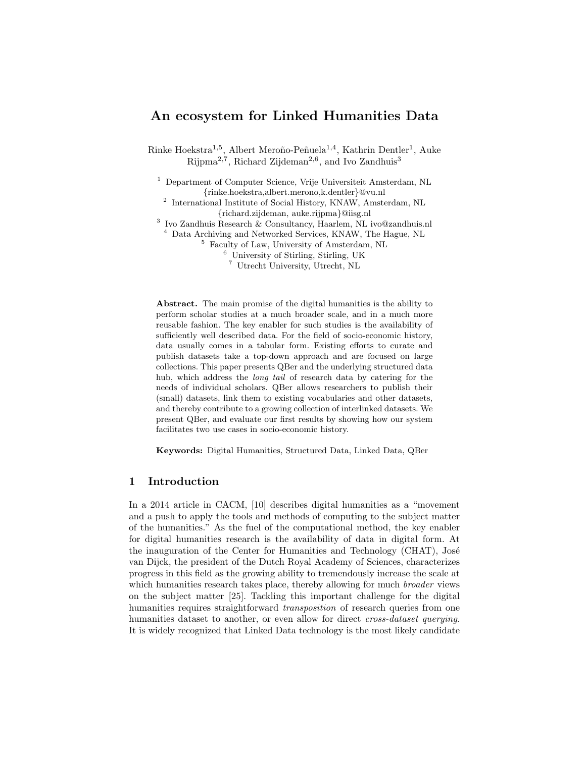# An ecosystem for Linked Humanities Data

Rinke Hoekstra<sup>1,5</sup>, Albert Meroño-Peñuela<sup>1,4</sup>, Kathrin Dentler<sup>1</sup>, Auke Rijpma<sup>2,7</sup>, Richard Zijdeman<sup>2,6</sup>, and Ivo Zandhuis<sup>3</sup>

<sup>1</sup> Department of Computer Science, Vrije Universiteit Amsterdam, NL {rinke.hoekstra,albert.merono,k.dentler}@vu.nl

2 International Institute of Social History, KNAW, Amsterdam, NL {richard.zijdeman, auke.rijpma}@iisg.nl

3 Ivo Zandhuis Research & Consultancy, Haarlem, NL ivo@zandhuis.nl

<sup>4</sup> Data Archiving and Networked Services, KNAW, The Hague, NL

<sup>5</sup> Faculty of Law, University of Amsterdam, NL

<sup>6</sup> University of Stirling, Stirling, UK

<sup>7</sup> Utrecht University, Utrecht, NL

Abstract. The main promise of the digital humanities is the ability to perform scholar studies at a much broader scale, and in a much more reusable fashion. The key enabler for such studies is the availability of sufficiently well described data. For the field of socio-economic history, data usually comes in a tabular form. Existing efforts to curate and publish datasets take a top-down approach and are focused on large collections. This paper presents QBer and the underlying structured data hub, which address the long tail of research data by catering for the needs of individual scholars. QBer allows researchers to publish their (small) datasets, link them to existing vocabularies and other datasets, and thereby contribute to a growing collection of interlinked datasets. We present QBer, and evaluate our first results by showing how our system facilitates two use cases in socio-economic history.

Keywords: Digital Humanities, Structured Data, Linked Data, QBer

# 1 Introduction

In a 2014 article in CACM, [10] describes digital humanities as a "movement and a push to apply the tools and methods of computing to the subject matter of the humanities." As the fuel of the computational method, the key enabler for digital humanities research is the availability of data in digital form. At the inauguration of the Center for Humanities and Technology (CHAT), José van Dijck, the president of the Dutch Royal Academy of Sciences, characterizes progress in this field as the growing ability to tremendously increase the scale at which humanities research takes place, thereby allowing for much *broader* views on the subject matter [25]. Tackling this important challenge for the digital humanities requires straightforward *transposition* of research queries from one humanities dataset to another, or even allow for direct *cross-dataset querying*. It is widely recognized that Linked Data technology is the most likely candidate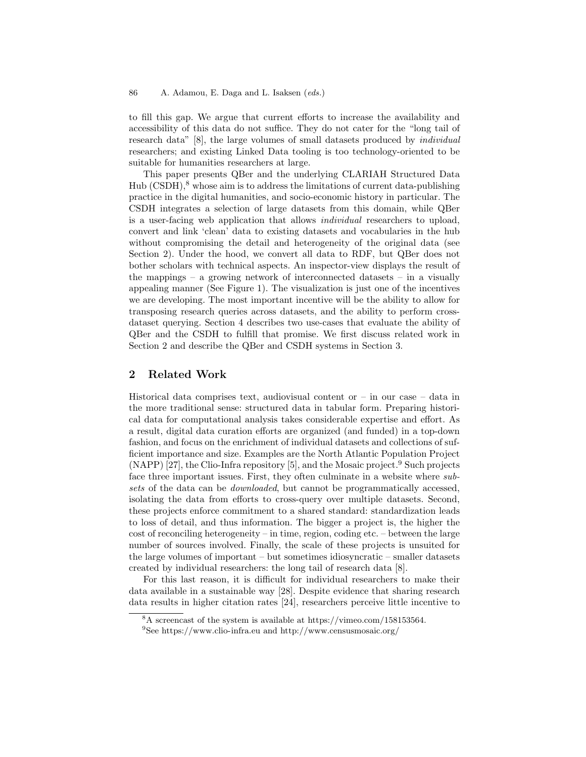#### 86 A. Adamou, E. Daga and L. Isaksen (eds.)

to fill this gap. We argue that current efforts to increase the availability and accessibility of this data do not suffice. They do not cater for the "long tail of research data" [8], the large volumes of small datasets produced by individual researchers; and existing Linked Data tooling is too technology-oriented to be suitable for humanities researchers at large.

This paper presents QBer and the underlying CLARIAH Structured Data Hub  $(CSDH)$ ,<sup>8</sup> whose aim is to address the limitations of current data-publishing practice in the digital humanities, and socio-economic history in particular. The CSDH integrates a selection of large datasets from this domain, while QBer is a user-facing web application that allows individual researchers to upload, convert and link 'clean' data to existing datasets and vocabularies in the hub without compromising the detail and heterogeneity of the original data (see Section 2). Under the hood, we convert all data to RDF, but QBer does not bother scholars with technical aspects. An inspector-view displays the result of the mappings – a growing network of interconnected datasets – in a visually appealing manner (See Figure 1). The visualization is just one of the incentives we are developing. The most important incentive will be the ability to allow for transposing research queries across datasets, and the ability to perform crossdataset querying. Section 4 describes two use-cases that evaluate the ability of QBer and the CSDH to fulfill that promise. We first discuss related work in Section 2 and describe the QBer and CSDH systems in Section 3.

# 2 Related Work

Historical data comprises text, audiovisual content or – in our case – data in the more traditional sense: structured data in tabular form. Preparing historical data for computational analysis takes considerable expertise and effort. As a result, digital data curation efforts are organized (and funded) in a top-down fashion, and focus on the enrichment of individual datasets and collections of sufficient importance and size. Examples are the North Atlantic Population Project (NAPP) [27], the Clio-Infra repository [5], and the Mosaic project.<sup>9</sup> Such projects face three important issues. First, they often culminate in a website where subsets of the data can be *downloaded*, but cannot be programmatically accessed, isolating the data from efforts to cross-query over multiple datasets. Second, these projects enforce commitment to a shared standard: standardization leads to loss of detail, and thus information. The bigger a project is, the higher the cost of reconciling heterogeneity – in time, region, coding etc. – between the large number of sources involved. Finally, the scale of these projects is unsuited for the large volumes of important – but sometimes idiosyncratic – smaller datasets created by individual researchers: the long tail of research data [8].

For this last reason, it is difficult for individual researchers to make their data available in a sustainable way [28]. Despite evidence that sharing research data results in higher citation rates [24], researchers perceive little incentive to

<sup>8</sup>A screencast of the system is available at https://vimeo.com/158153564.

<sup>&</sup>lt;sup>9</sup>See https://www.clio-infra.eu and http://www.censusmosaic.org/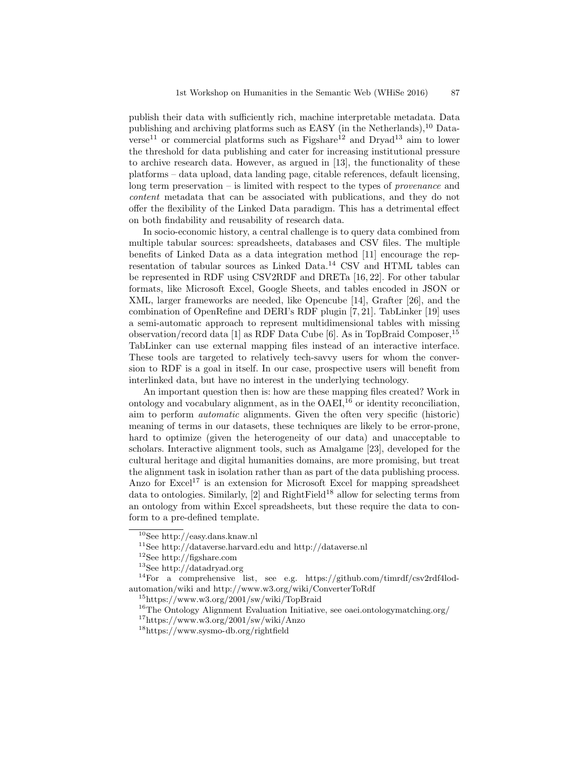publish their data with sufficiently rich, machine interpretable metadata. Data publishing and archiving platforms such as EASY (in the Netherlands),<sup>10</sup> Dataverse<sup>11</sup> or commercial platforms such as Figshare<sup>12</sup> and Dryad<sup>13</sup> aim to lower the threshold for data publishing and cater for increasing institutional pressure to archive research data. However, as argued in [13], the functionality of these platforms – data upload, data landing page, citable references, default licensing, long term preservation – is limited with respect to the types of *provenance* and content metadata that can be associated with publications, and they do not offer the flexibility of the Linked Data paradigm. This has a detrimental effect on both findability and reusability of research data.

In socio-economic history, a central challenge is to query data combined from multiple tabular sources: spreadsheets, databases and CSV files. The multiple benefits of Linked Data as a data integration method [11] encourage the representation of tabular sources as Linked Data.<sup>14</sup> CSV and HTML tables can be represented in RDF using CSV2RDF and DRETa [16, 22]. For other tabular formats, like Microsoft Excel, Google Sheets, and tables encoded in JSON or XML, larger frameworks are needed, like Opencube [14], Grafter [26], and the combination of OpenRefine and DERI's RDF plugin [7, 21]. TabLinker [19] uses a semi-automatic approach to represent multidimensional tables with missing observation/record data [1] as RDF Data Cube [6]. As in TopBraid Composer,<sup>15</sup> TabLinker can use external mapping files instead of an interactive interface. These tools are targeted to relatively tech-savvy users for whom the conversion to RDF is a goal in itself. In our case, prospective users will benefit from interlinked data, but have no interest in the underlying technology.

An important question then is: how are these mapping files created? Work in ontology and vocabulary alignment, as in the OAEI, $^{16}$  or identity reconciliation, aim to perform automatic alignments. Given the often very specific (historic) meaning of terms in our datasets, these techniques are likely to be error-prone, hard to optimize (given the heterogeneity of our data) and unacceptable to scholars. Interactive alignment tools, such as Amalgame [23], developed for the cultural heritage and digital humanities domains, are more promising, but treat the alignment task in isolation rather than as part of the data publishing process. Anzo for  $\text{Excel}^{17}$  is an extension for Microsoft Excel for mapping spreadsheet data to ontologies. Similarly,  $[2]$  and RightField<sup>18</sup> allow for selecting terms from an ontology from within Excel spreadsheets, but these require the data to conform to a pre-defined template.

<sup>10</sup>See http://easy.dans.knaw.nl

<sup>11</sup>See http://dataverse.harvard.edu and http://dataverse.nl

<sup>12</sup>See http://figshare.com

<sup>13</sup>See http://datadryad.org

<sup>&</sup>lt;sup>14</sup>For a comprehensive list, see e.g. https://github.com/timrdf/csv2rdf4lodautomation/wiki and http://www.w3.org/wiki/ConverterToRdf

<sup>15</sup>https://www.w3.org/2001/sw/wiki/TopBraid

<sup>16</sup>The Ontology Alignment Evaluation Initiative, see oaei.ontologymatching.org/

 $17$ https://www.w3.org/2001/sw/wiki/Anzo

<sup>18</sup>https://www.sysmo-db.org/rightfield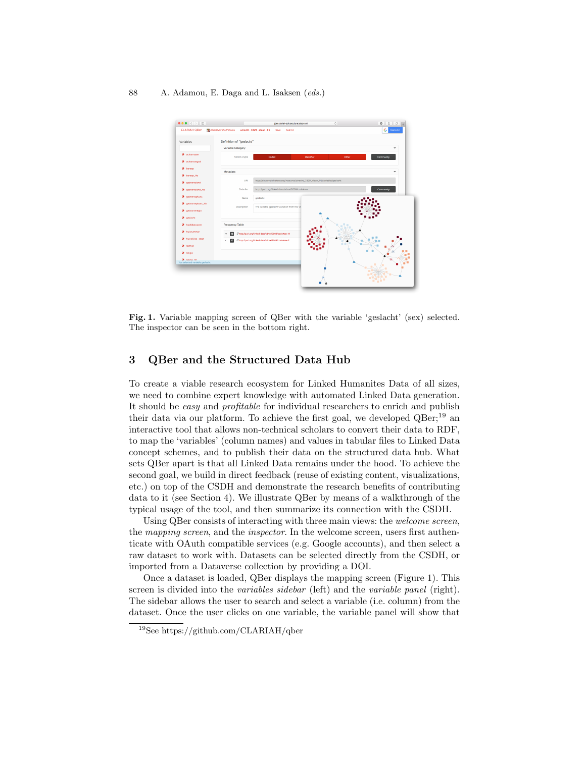#### 88 A. Adamou, E. Daga and L. Isaksen (eds.)



Fig. 1. Variable mapping screen of QBer with the variable 'geslacht' (sex) selected. The inspector can be seen in the bottom right.

### 3 QBer and the Structured Data Hub

To create a viable research ecosystem for Linked Humanites Data of all sizes, we need to combine expert knowledge with automated Linked Data generation. It should be easy and profitable for individual researchers to enrich and publish their data via our platform. To achieve the first goal, we developed  $QBer;^{19}$  an interactive tool that allows non-technical scholars to convert their data to RDF, to map the 'variables' (column names) and values in tabular files to Linked Data concept schemes, and to publish their data on the structured data hub. What sets QBer apart is that all Linked Data remains under the hood. To achieve the second goal, we build in direct feedback (reuse of existing content, visualizations, etc.) on top of the CSDH and demonstrate the research benefits of contributing data to it (see Section 4). We illustrate QBer by means of a walkthrough of the typical usage of the tool, and then summarize its connection with the CSDH.

Using QBer consists of interacting with three main views: the welcome screen, the *mapping screen*, and the *inspector*. In the welcome screen, users first authenticate with OAuth compatible services (e.g. Google accounts), and then select a raw dataset to work with. Datasets can be selected directly from the CSDH, or imported from a Dataverse collection by providing a DOI.

Once a dataset is loaded, QBer displays the mapping screen (Figure 1). This screen is divided into the *variables sidebar* (left) and the *variable panel* (right). The sidebar allows the user to search and select a variable (i.e. column) from the dataset. Once the user clicks on one variable, the variable panel will show that

<sup>19</sup>See https://github.com/CLARIAH/qber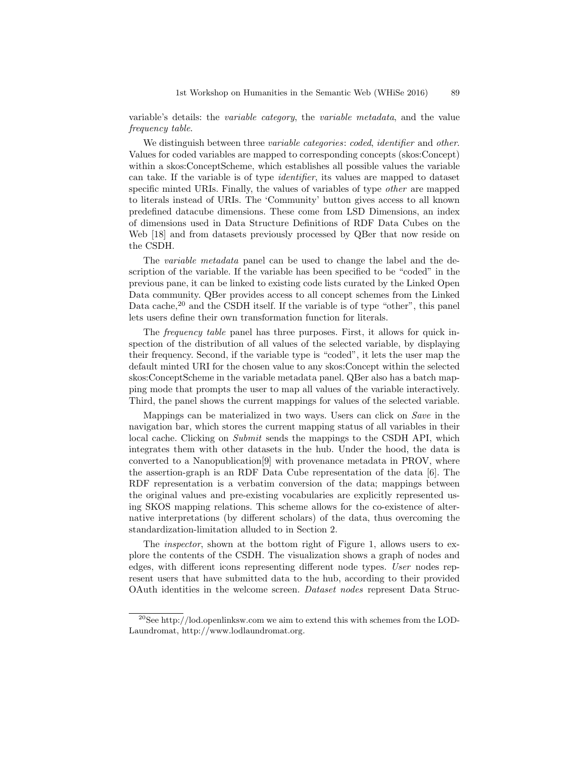variable's details: the variable category, the variable metadata, and the value frequency table.

We distinguish between three *variable categories: coded, identifier* and *other.* Values for coded variables are mapped to corresponding concepts (skos:Concept) within a skos:ConceptScheme, which establishes all possible values the variable can take. If the variable is of type identifier, its values are mapped to dataset specific minted URIs. Finally, the values of variables of type other are mapped to literals instead of URIs. The 'Community' button gives access to all known predefined datacube dimensions. These come from LSD Dimensions, an index of dimensions used in Data Structure Definitions of RDF Data Cubes on the Web [18] and from datasets previously processed by QBer that now reside on the CSDH.

The variable metadata panel can be used to change the label and the description of the variable. If the variable has been specified to be "coded" in the previous pane, it can be linked to existing code lists curated by the Linked Open Data community. QBer provides access to all concept schemes from the Linked Data cache, $20$  and the CSDH itself. If the variable is of type "other", this panel lets users define their own transformation function for literals.

The frequency table panel has three purposes. First, it allows for quick inspection of the distribution of all values of the selected variable, by displaying their frequency. Second, if the variable type is "coded", it lets the user map the default minted URI for the chosen value to any skos:Concept within the selected skos:ConceptScheme in the variable metadata panel. QBer also has a batch mapping mode that prompts the user to map all values of the variable interactively. Third, the panel shows the current mappings for values of the selected variable.

Mappings can be materialized in two ways. Users can click on Save in the navigation bar, which stores the current mapping status of all variables in their local cache. Clicking on Submit sends the mappings to the CSDH API, which integrates them with other datasets in the hub. Under the hood, the data is converted to a Nanopublication[9] with provenance metadata in PROV, where the assertion-graph is an RDF Data Cube representation of the data [6]. The RDF representation is a verbatim conversion of the data; mappings between the original values and pre-existing vocabularies are explicitly represented using SKOS mapping relations. This scheme allows for the co-existence of alternative interpretations (by different scholars) of the data, thus overcoming the standardization-limitation alluded to in Section 2.

The inspector, shown at the bottom right of Figure 1, allows users to explore the contents of the CSDH. The visualization shows a graph of nodes and edges, with different icons representing different node types. User nodes represent users that have submitted data to the hub, according to their provided OAuth identities in the welcome screen. Dataset nodes represent Data Struc-

 $^{20}$ See http://lod.openlinksw.com we aim to extend this with schemes from the LOD-Laundromat, http://www.lodlaundromat.org.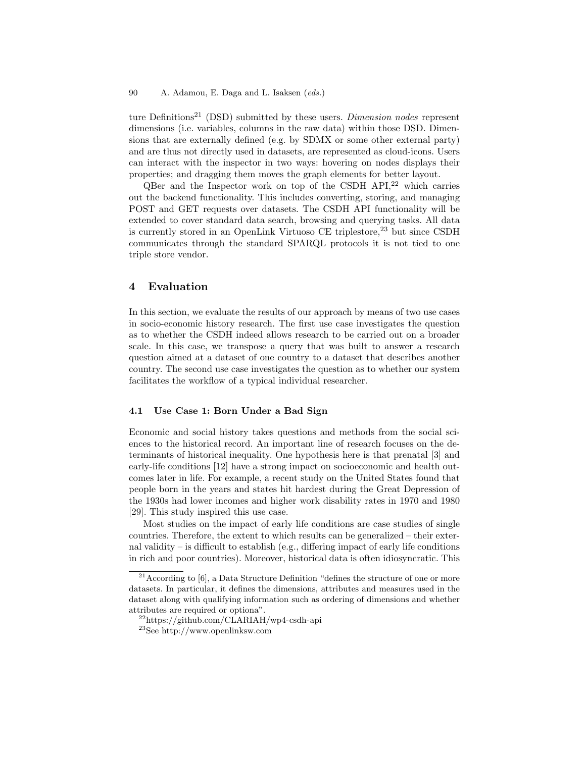ture Definitions<sup>21</sup> (DSD) submitted by these users. *Dimension nodes* represent dimensions (i.e. variables, columns in the raw data) within those DSD. Dimensions that are externally defined (e.g. by SDMX or some other external party) and are thus not directly used in datasets, are represented as cloud-icons. Users can interact with the inspector in two ways: hovering on nodes displays their properties; and dragging them moves the graph elements for better layout.

QBer and the Inspector work on top of the CSDH  $API<sub>1</sub><sup>22</sup>$  which carries out the backend functionality. This includes converting, storing, and managing POST and GET requests over datasets. The CSDH API functionality will be extended to cover standard data search, browsing and querying tasks. All data is currently stored in an OpenLink Virtuoso CE triplestore,<sup>23</sup> but since CSDH communicates through the standard SPARQL protocols it is not tied to one triple store vendor.

# 4 Evaluation

In this section, we evaluate the results of our approach by means of two use cases in socio-economic history research. The first use case investigates the question as to whether the CSDH indeed allows research to be carried out on a broader scale. In this case, we transpose a query that was built to answer a research question aimed at a dataset of one country to a dataset that describes another country. The second use case investigates the question as to whether our system facilitates the workflow of a typical individual researcher.

### 4.1 Use Case 1: Born Under a Bad Sign

Economic and social history takes questions and methods from the social sciences to the historical record. An important line of research focuses on the determinants of historical inequality. One hypothesis here is that prenatal [3] and early-life conditions [12] have a strong impact on socioeconomic and health outcomes later in life. For example, a recent study on the United States found that people born in the years and states hit hardest during the Great Depression of the 1930s had lower incomes and higher work disability rates in 1970 and 1980 [29]. This study inspired this use case.

Most studies on the impact of early life conditions are case studies of single countries. Therefore, the extent to which results can be generalized – their external validity – is difficult to establish (e.g., differing impact of early life conditions in rich and poor countries). Moreover, historical data is often idiosyncratic. This

<sup>&</sup>lt;sup>21</sup> According to [6], a Data Structure Definition "defines the structure of one or more datasets. In particular, it defines the dimensions, attributes and measures used in the dataset along with qualifying information such as ordering of dimensions and whether attributes are required or optiona".

<sup>22</sup>https://github.com/CLARIAH/wp4-csdh-api

<sup>23</sup>See http://www.openlinksw.com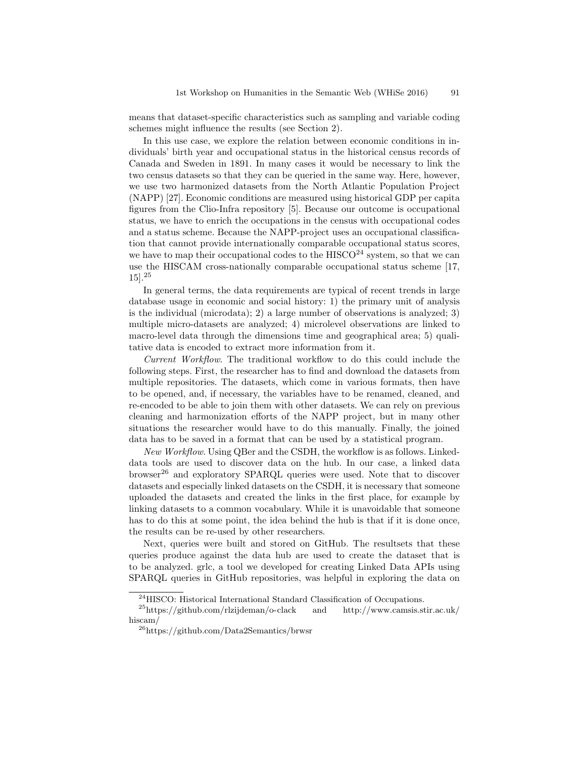means that dataset-specific characteristics such as sampling and variable coding schemes might influence the results (see Section 2).

In this use case, we explore the relation between economic conditions in individuals' birth year and occupational status in the historical census records of Canada and Sweden in 1891. In many cases it would be necessary to link the two census datasets so that they can be queried in the same way. Here, however, we use two harmonized datasets from the North Atlantic Population Project (NAPP) [27]. Economic conditions are measured using historical GDP per capita figures from the Clio-Infra repository [5]. Because our outcome is occupational status, we have to enrich the occupations in the census with occupational codes and a status scheme. Because the NAPP-project uses an occupational classification that cannot provide internationally comparable occupational status scores, we have to map their occupational codes to the  $HISCO<sup>24</sup>$  system, so that we can use the HISCAM cross-nationally comparable occupational status scheme [17, 15].<sup>25</sup>

In general terms, the data requirements are typical of recent trends in large database usage in economic and social history: 1) the primary unit of analysis is the individual (microdata); 2) a large number of observations is analyzed; 3) multiple micro-datasets are analyzed; 4) microlevel observations are linked to macro-level data through the dimensions time and geographical area; 5) qualitative data is encoded to extract more information from it.

Current Workflow. The traditional workflow to do this could include the following steps. First, the researcher has to find and download the datasets from multiple repositories. The datasets, which come in various formats, then have to be opened, and, if necessary, the variables have to be renamed, cleaned, and re-encoded to be able to join them with other datasets. We can rely on previous cleaning and harmonization efforts of the NAPP project, but in many other situations the researcher would have to do this manually. Finally, the joined data has to be saved in a format that can be used by a statistical program.

New Workflow. Using QBer and the CSDH, the workflow is as follows. Linkeddata tools are used to discover data on the hub. In our case, a linked data browser<sup>26</sup> and exploratory SPARQL queries were used. Note that to discover datasets and especially linked datasets on the CSDH, it is necessary that someone uploaded the datasets and created the links in the first place, for example by linking datasets to a common vocabulary. While it is unavoidable that someone has to do this at some point, the idea behind the hub is that if it is done once, the results can be re-used by other researchers.

Next, queries were built and stored on GitHub. The resultsets that these queries produce against the data hub are used to create the dataset that is to be analyzed. grlc, a tool we developed for creating Linked Data APIs using SPARQL queries in GitHub repositories, was helpful in exploring the data on

<sup>24</sup>HISCO: Historical International Standard Classification of Occupations.

 $^{25}{\rm https://github.com/rlzijdeman/o\text{-}click}$  and http://www.camsis.stir.ac.uk/ hiscam/

<sup>26</sup>https://github.com/Data2Semantics/brwsr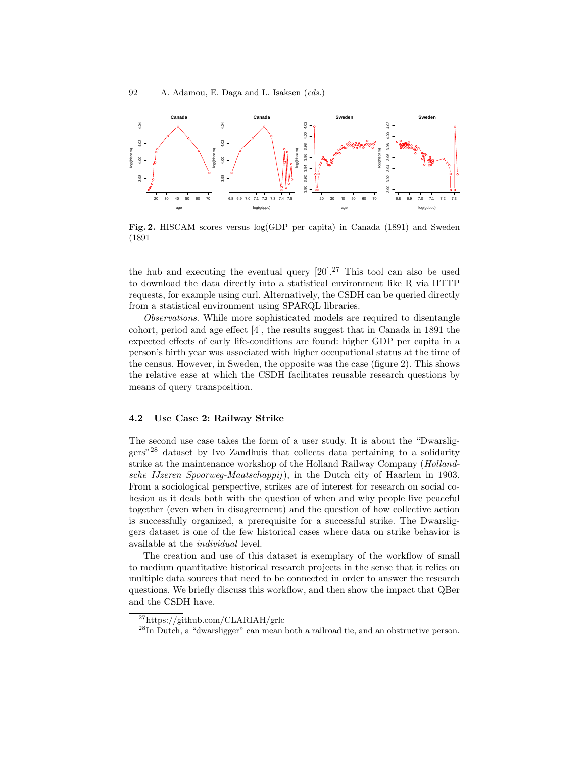

Fig. 2. HISCAM scores versus log(GDP per capita) in Canada (1891) and Sweden (1891

the hub and executing the eventual query  $[20]$ .<sup>27</sup> This tool can also be used to download the data directly into a statistical environment like R via HTTP requests, for example using curl. Alternatively, the CSDH can be queried directly from a statistical environment using SPARQL libraries.

Observations. While more sophisticated models are required to disentangle cohort, period and age effect [4], the results suggest that in Canada in 1891 the expected effects of early life-conditions are found: higher GDP per capita in a person's birth year was associated with higher occupational status at the time of the census. However, in Sweden, the opposite was the case (figure 2). This shows the relative ease at which the CSDH facilitates reusable research questions by means of query transposition.

#### 4.2 Use Case 2: Railway Strike

The second use case takes the form of a user study. It is about the "Dwarsliggers"<sup>28</sup> dataset by Ivo Zandhuis that collects data pertaining to a solidarity strike at the maintenance workshop of the Holland Railway Company (Hollandsche IJzeren Spoorweg-Maatschappij), in the Dutch city of Haarlem in 1903. From a sociological perspective, strikes are of interest for research on social cohesion as it deals both with the question of when and why people live peaceful together (even when in disagreement) and the question of how collective action is successfully organized, a prerequisite for a successful strike. The Dwarsliggers dataset is one of the few historical cases where data on strike behavior is available at the individual level.

The creation and use of this dataset is exemplary of the workflow of small to medium quantitative historical research projects in the sense that it relies on multiple data sources that need to be connected in order to answer the research questions. We briefly discuss this workflow, and then show the impact that QBer and the CSDH have.

<sup>27</sup>https://github.com/CLARIAH/grlc

 $^{28}$ In Dutch, a "dwarsligger" can mean both a railroad tie, and an obstructive person.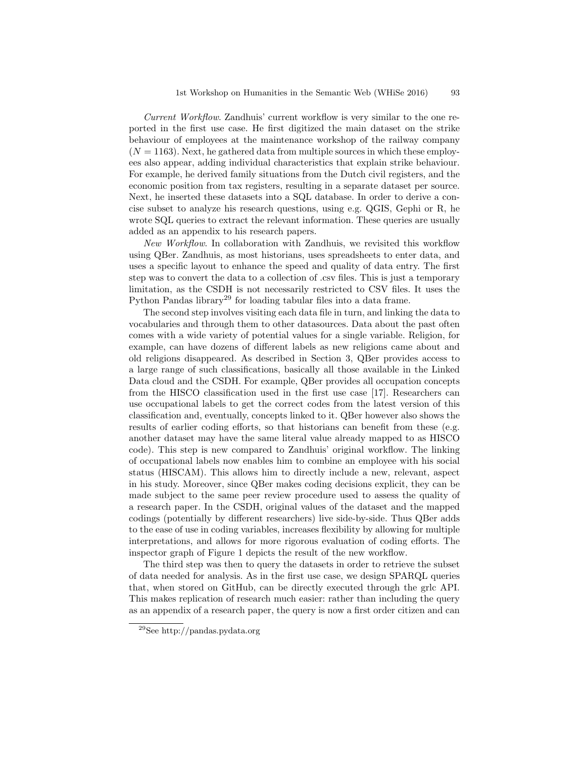Current Workflow. Zandhuis' current workflow is very similar to the one reported in the first use case. He first digitized the main dataset on the strike behaviour of employees at the maintenance workshop of the railway company  $(N = 1163)$ . Next, he gathered data from multiple sources in which these employees also appear, adding individual characteristics that explain strike behaviour. For example, he derived family situations from the Dutch civil registers, and the economic position from tax registers, resulting in a separate dataset per source. Next, he inserted these datasets into a SQL database. In order to derive a concise subset to analyze his research questions, using e.g. QGIS, Gephi or R, he wrote SQL queries to extract the relevant information. These queries are usually added as an appendix to his research papers.

New Workflow. In collaboration with Zandhuis, we revisited this workflow using QBer. Zandhuis, as most historians, uses spreadsheets to enter data, and uses a specific layout to enhance the speed and quality of data entry. The first step was to convert the data to a collection of .csv files. This is just a temporary limitation, as the CSDH is not necessarily restricted to CSV files. It uses the Python Pandas library<sup>29</sup> for loading tabular files into a data frame.

The second step involves visiting each data file in turn, and linking the data to vocabularies and through them to other datasources. Data about the past often comes with a wide variety of potential values for a single variable. Religion, for example, can have dozens of different labels as new religions came about and old religions disappeared. As described in Section 3, QBer provides access to a large range of such classifications, basically all those available in the Linked Data cloud and the CSDH. For example, QBer provides all occupation concepts from the HISCO classification used in the first use case [17]. Researchers can use occupational labels to get the correct codes from the latest version of this classification and, eventually, concepts linked to it. QBer however also shows the results of earlier coding efforts, so that historians can benefit from these (e.g. another dataset may have the same literal value already mapped to as HISCO code). This step is new compared to Zandhuis' original workflow. The linking of occupational labels now enables him to combine an employee with his social status (HISCAM). This allows him to directly include a new, relevant, aspect in his study. Moreover, since QBer makes coding decisions explicit, they can be made subject to the same peer review procedure used to assess the quality of a research paper. In the CSDH, original values of the dataset and the mapped codings (potentially by different researchers) live side-by-side. Thus QBer adds to the ease of use in coding variables, increases flexibility by allowing for multiple interpretations, and allows for more rigorous evaluation of coding efforts. The inspector graph of Figure 1 depicts the result of the new workflow.

The third step was then to query the datasets in order to retrieve the subset of data needed for analysis. As in the first use case, we design SPARQL queries that, when stored on GitHub, can be directly executed through the grlc API. This makes replication of research much easier: rather than including the query as an appendix of a research paper, the query is now a first order citizen and can

<sup>29</sup>See http://pandas.pydata.org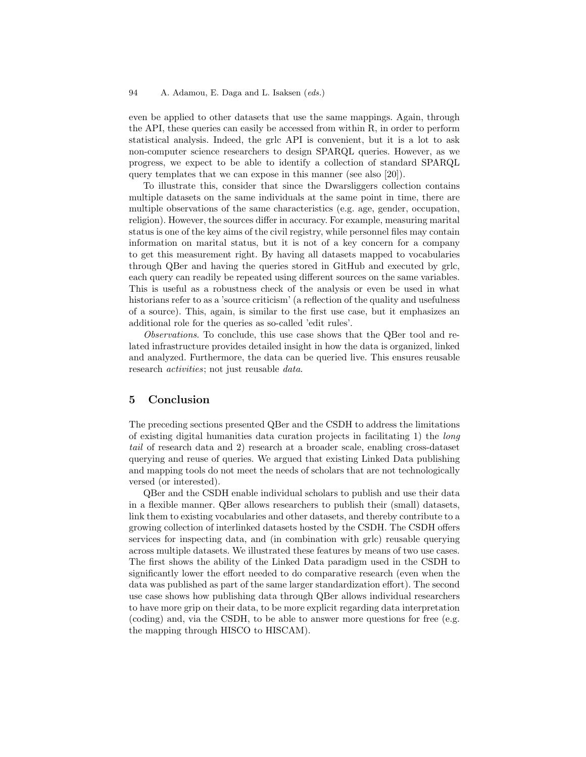#### 94 A. Adamou, E. Daga and L. Isaksen (eds.)

even be applied to other datasets that use the same mappings. Again, through the API, these queries can easily be accessed from within R, in order to perform statistical analysis. Indeed, the grlc API is convenient, but it is a lot to ask non-computer science researchers to design SPARQL queries. However, as we progress, we expect to be able to identify a collection of standard SPARQL query templates that we can expose in this manner (see also [20]).

To illustrate this, consider that since the Dwarsliggers collection contains multiple datasets on the same individuals at the same point in time, there are multiple observations of the same characteristics (e.g. age, gender, occupation, religion). However, the sources differ in accuracy. For example, measuring marital status is one of the key aims of the civil registry, while personnel files may contain information on marital status, but it is not of a key concern for a company to get this measurement right. By having all datasets mapped to vocabularies through QBer and having the queries stored in GitHub and executed by grlc, each query can readily be repeated using different sources on the same variables. This is useful as a robustness check of the analysis or even be used in what historians refer to as a 'source criticism' (a reflection of the quality and usefulness of a source). This, again, is similar to the first use case, but it emphasizes an additional role for the queries as so-called 'edit rules'.

Observations. To conclude, this use case shows that the QBer tool and related infrastructure provides detailed insight in how the data is organized, linked and analyzed. Furthermore, the data can be queried live. This ensures reusable research *activities*; not just reusable *data*.

### 5 Conclusion

The preceding sections presented QBer and the CSDH to address the limitations of existing digital humanities data curation projects in facilitating 1) the long tail of research data and 2) research at a broader scale, enabling cross-dataset querying and reuse of queries. We argued that existing Linked Data publishing and mapping tools do not meet the needs of scholars that are not technologically versed (or interested).

QBer and the CSDH enable individual scholars to publish and use their data in a flexible manner. QBer allows researchers to publish their (small) datasets, link them to existing vocabularies and other datasets, and thereby contribute to a growing collection of interlinked datasets hosted by the CSDH. The CSDH offers services for inspecting data, and (in combination with grlc) reusable querying across multiple datasets. We illustrated these features by means of two use cases. The first shows the ability of the Linked Data paradigm used in the CSDH to significantly lower the effort needed to do comparative research (even when the data was published as part of the same larger standardization effort). The second use case shows how publishing data through QBer allows individual researchers to have more grip on their data, to be more explicit regarding data interpretation (coding) and, via the CSDH, to be able to answer more questions for free (e.g. the mapping through HISCO to HISCAM).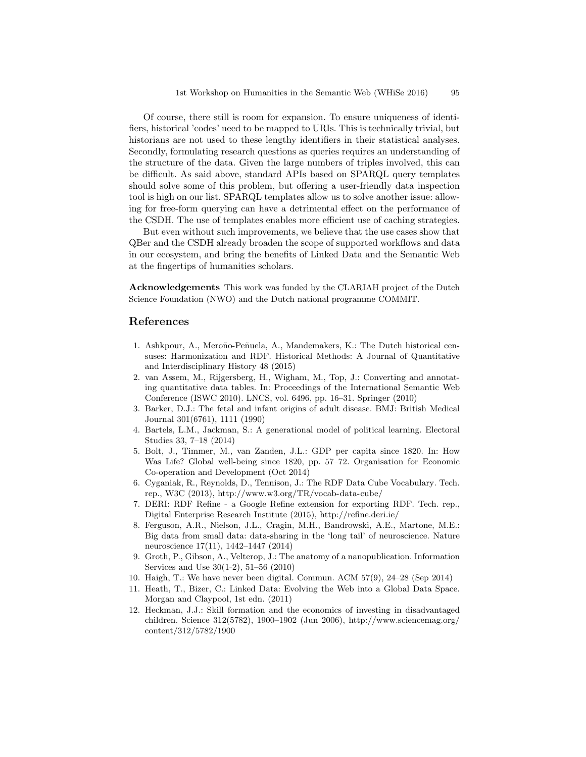Of course, there still is room for expansion. To ensure uniqueness of identifiers, historical 'codes' need to be mapped to URIs. This is technically trivial, but historians are not used to these lengthy identifiers in their statistical analyses. Secondly, formulating research questions as queries requires an understanding of the structure of the data. Given the large numbers of triples involved, this can be difficult. As said above, standard APIs based on SPARQL query templates should solve some of this problem, but offering a user-friendly data inspection tool is high on our list. SPARQL templates allow us to solve another issue: allowing for free-form querying can have a detrimental effect on the performance of the CSDH. The use of templates enables more efficient use of caching strategies.

But even without such improvements, we believe that the use cases show that QBer and the CSDH already broaden the scope of supported workflows and data in our ecosystem, and bring the benefits of Linked Data and the Semantic Web at the fingertips of humanities scholars.

Acknowledgements This work was funded by the CLARIAH project of the Dutch Science Foundation (NWO) and the Dutch national programme COMMIT.

### References

- 1. Ashkpour, A., Meroño-Peñuela, A., Mandemakers, K.: The Dutch historical censuses: Harmonization and RDF. Historical Methods: A Journal of Quantitative and Interdisciplinary History 48 (2015)
- 2. van Assem, M., Rijgersberg, H., Wigham, M., Top, J.: Converting and annotating quantitative data tables. In: Proceedings of the International Semantic Web Conference (ISWC 2010). LNCS, vol. 6496, pp. 16–31. Springer (2010)
- 3. Barker, D.J.: The fetal and infant origins of adult disease. BMJ: British Medical Journal 301(6761), 1111 (1990)
- 4. Bartels, L.M., Jackman, S.: A generational model of political learning. Electoral Studies 33, 7–18 (2014)
- 5. Bolt, J., Timmer, M., van Zanden, J.L.: GDP per capita since 1820. In: How Was Life? Global well-being since 1820, pp. 57–72. Organisation for Economic Co-operation and Development (Oct 2014)
- 6. Cyganiak, R., Reynolds, D., Tennison, J.: The RDF Data Cube Vocabulary. Tech. rep., W3C (2013), http://www.w3.org/TR/vocab-data-cube/
- 7. DERI: RDF Refine a Google Refine extension for exporting RDF. Tech. rep., Digital Enterprise Research Institute (2015), http://refine.deri.ie/
- 8. Ferguson, A.R., Nielson, J.L., Cragin, M.H., Bandrowski, A.E., Martone, M.E.: Big data from small data: data-sharing in the 'long tail' of neuroscience. Nature neuroscience 17(11), 1442–1447 (2014)
- 9. Groth, P., Gibson, A., Velterop, J.: The anatomy of a nanopublication. Information Services and Use 30(1-2), 51–56 (2010)
- 10. Haigh, T.: We have never been digital. Commun. ACM 57(9), 24–28 (Sep 2014)
- 11. Heath, T., Bizer, C.: Linked Data: Evolving the Web into a Global Data Space. Morgan and Claypool, 1st edn. (2011)
- 12. Heckman, J.J.: Skill formation and the economics of investing in disadvantaged children. Science 312(5782), 1900–1902 (Jun 2006), http://www.sciencemag.org/ content/312/5782/1900